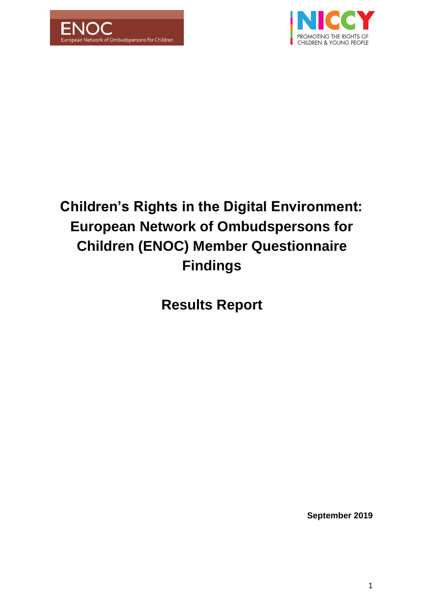



# **Children's Rights in the Digital Environment: European Network of Ombudspersons for Children (ENOC) Member Questionnaire Findings**

**Results Report** 

**September 2019**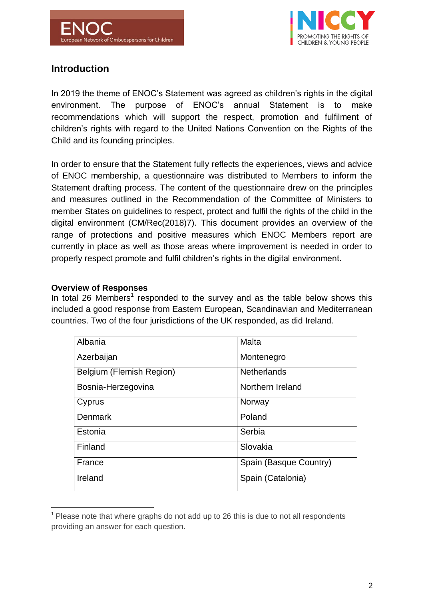

# **Introduction**

In 2019 the theme of ENOC's Statement was agreed as children's rights in the digital environment. The purpose of ENOC's annual Statement is to make recommendations which will support the respect, promotion and fulfilment of children's rights with regard to the United Nations Convention on the Rights of the Child and its founding principles.

In order to ensure that the Statement fully reflects the experiences, views and advice of ENOC membership, a questionnaire was distributed to Members to inform the Statement drafting process. The content of the questionnaire drew on the principles and measures outlined in the Recommendation of the Committee of Ministers to member States on guidelines to respect, protect and fulfil the rights of the child in the digital environment (CM/Rec(2018)7). This document provides an overview of the range of protections and positive measures which ENOC Members report are currently in place as well as those areas where improvement is needed in order to properly respect promote and fulfil children's rights in the digital environment.

#### **Overview of Responses**

-

In total 26 Members<sup>1</sup> responded to the survey and as the table below shows this included a good response from Eastern European, Scandinavian and Mediterranean countries. Two of the four jurisdictions of the UK responded, as did Ireland.

| Albania                  | Malta                  |
|--------------------------|------------------------|
| Azerbaijan               | Montenegro             |
| Belgium (Flemish Region) | <b>Netherlands</b>     |
| Bosnia-Herzegovina       | Northern Ireland       |
| Cyprus                   | Norway                 |
| <b>Denmark</b>           | Poland                 |
| Estonia                  | Serbia                 |
| Finland                  | Slovakia               |
| France                   | Spain (Basque Country) |
| Ireland                  | Spain (Catalonia)      |

 $1$  Please note that where graphs do not add up to 26 this is due to not all respondents providing an answer for each question.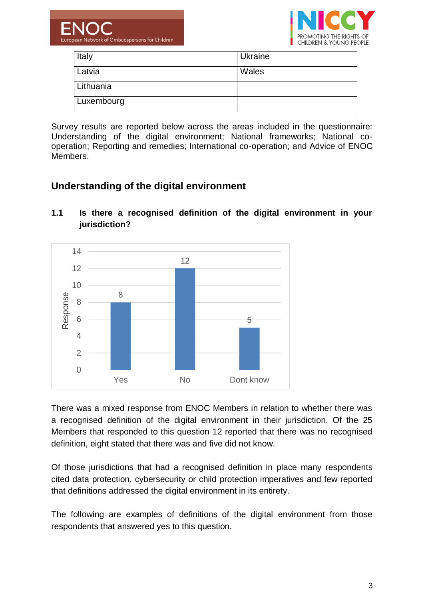



| Italy      | Ukraine |
|------------|---------|
| Latvia     | Wales   |
| Lithuania  |         |
| Luxembourg |         |

Survey results are reported below across the areas included in the questionnaire: Understanding of the digital environment; National frameworks; National cooperation; Reporting and remedies; International co-operation; and Advice of ENOC Members.

# **Understanding of the digital environment**



## **1.1 Is there a recognised definition of the digital environment in your jurisdiction?**

There was a mixed response from ENOC Members in relation to whether there was a recognised definition of the digital environment in their jurisdiction. Of the 25 Members that responded to this question 12 reported that there was no recognised definition, eight stated that there was and five did not know.

Of those jurisdictions that had a recognised definition in place many respondents cited data protection, cybersecurity or child protection imperatives and few reported that definitions addressed the digital environment in its entirety.

The following are examples of definitions of the digital environment from those respondents that answered yes to this question.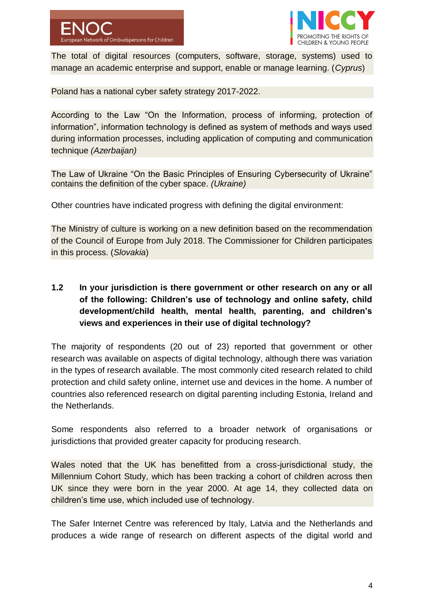

The total of digital resources (computers, software, storage, systems) used to manage an academic enterprise and support, enable or manage learning. (*Cyprus*)

Poland has a national cyber safety strategy 2017-2022.

According to the Law "On the Information, process of informing, protection of information", information technology is defined as system of methods and ways used during information processes, including application of computing and communication technique *(Azerbaijan)*

The Law of Ukraine "On the Basic Principles of Ensuring Cybersecurity of Ukraine" contains the definition of the cyber space. *(Ukraine)*

Other countries have indicated progress with defining the digital environment:

The Ministry of culture is working on a new definition based on the recommendation of the Council of Europe from July 2018. The Commissioner for Children participates in this process. (*Slovakia*)

# **1.2 In your jurisdiction is there government or other research on any or all of the following: Children's use of technology and online safety, child development/child health, mental health, parenting, and children's views and experiences in their use of digital technology?**

The majority of respondents (20 out of 23) reported that government or other research was available on aspects of digital technology, although there was variation in the types of research available. The most commonly cited research related to child protection and child safety online, internet use and devices in the home. A number of countries also referenced research on digital parenting including Estonia, Ireland and the Netherlands.

Some respondents also referred to a broader network of organisations or jurisdictions that provided greater capacity for producing research.

Wales noted that the UK has benefitted from a cross-jurisdictional study, the Millennium Cohort Study, which has been tracking a cohort of children across then UK since they were born in the year 2000. At age 14, they collected data on children's time use, which included use of technology.

The Safer Internet Centre was referenced by Italy, Latvia and the Netherlands and produces a wide range of research on different aspects of the digital world and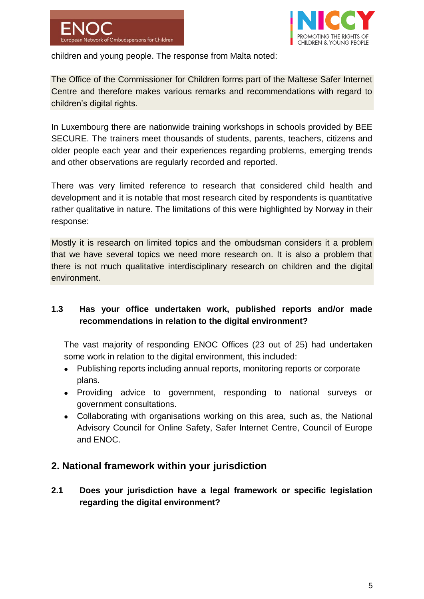



children and young people. The response from Malta noted:

The Office of the Commissioner for Children forms part of the Maltese Safer Internet Centre and therefore makes various remarks and recommendations with regard to children's digital rights.

In Luxembourg there are nationwide training workshops in schools provided by BEE SECURE. The trainers meet thousands of students, parents, teachers, citizens and older people each year and their experiences regarding problems, emerging trends and other observations are regularly recorded and reported.

There was very limited reference to research that considered child health and development and it is notable that most research cited by respondents is quantitative rather qualitative in nature. The limitations of this were highlighted by Norway in their response:

Mostly it is research on limited topics and the ombudsman considers it a problem that we have several topics we need more research on. It is also a problem that there is not much qualitative interdisciplinary research on children and the digital environment.

## **1.3 Has your office undertaken work, published reports and/or made recommendations in relation to the digital environment?**

The vast majority of responding ENOC Offices (23 out of 25) had undertaken some work in relation to the digital environment, this included:

- Publishing reports including annual reports, monitoring reports or corporate plans.
- Providing advice to government, responding to national surveys or government consultations.
- Collaborating with organisations working on this area, such as, the National Advisory Council for Online Safety, Safer Internet Centre, Council of Europe and ENOC.

# **2. National framework within your jurisdiction**

**2.1 Does your jurisdiction have a legal framework or specific legislation regarding the digital environment?**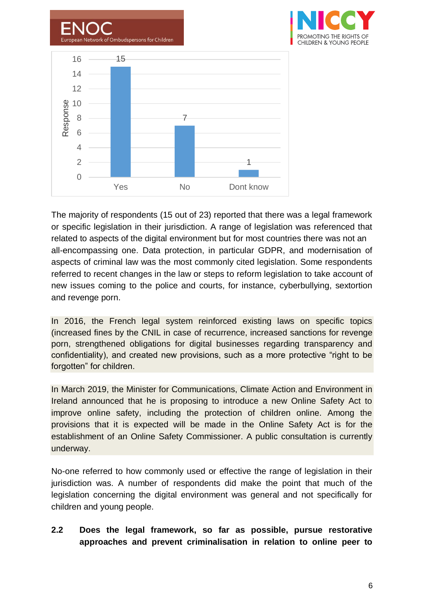

The majority of respondents (15 out of 23) reported that there was a legal framework or specific legislation in their jurisdiction. A range of legislation was referenced that related to aspects of the digital environment but for most countries there was not an all-encompassing one. Data protection, in particular GDPR, and modernisation of aspects of criminal law was the most commonly cited legislation. Some respondents referred to recent changes in the law or steps to reform legislation to take account of new issues coming to the police and courts, for instance, cyberbullying, sextortion and revenge porn.

In 2016, the French legal system reinforced existing laws on specific topics (increased fines by the CNIL in case of recurrence, increased sanctions for revenge porn, strengthened obligations for digital businesses regarding transparency and confidentiality), and created new provisions, such as a more protective "right to be forgotten" for children.

In March 2019, the Minister for Communications, Climate Action and Environment in Ireland announced that he is proposing to introduce a new Online Safety Act to improve online safety, including the protection of children online. Among the provisions that it is expected will be made in the Online Safety Act is for the establishment of an Online Safety Commissioner. A public consultation is currently underway.

No-one referred to how commonly used or effective the range of legislation in their jurisdiction was. A number of respondents did make the point that much of the legislation concerning the digital environment was general and not specifically for children and young people.

## **2.2 Does the legal framework, so far as possible, pursue restorative approaches and prevent criminalisation in relation to online peer to**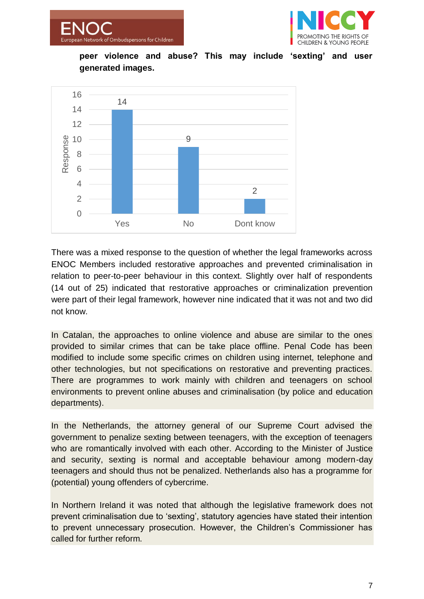



**peer violence and abuse? This may include 'sexting' and user generated images.**



There was a mixed response to the question of whether the legal frameworks across ENOC Members included restorative approaches and prevented criminalisation in relation to peer-to-peer behaviour in this context. Slightly over half of respondents (14 out of 25) indicated that restorative approaches or criminalization prevention were part of their legal framework, however nine indicated that it was not and two did not know.

In Catalan, the approaches to online violence and abuse are similar to the ones provided to similar crimes that can be take place offline. Penal Code has been modified to include some specific crimes on children using internet, telephone and other technologies, but not specifications on restorative and preventing practices. There are programmes to work mainly with children and teenagers on school environments to prevent online abuses and criminalisation (by police and education departments).

In the Netherlands, the attorney general of our Supreme Court advised the government to penalize sexting between teenagers, with the exception of teenagers who are romantically involved with each other. According to the Minister of Justice and security, sexting is normal and acceptable behaviour among modern-day teenagers and should thus not be penalized. Netherlands also has a programme for (potential) young offenders of cybercrime.

In Northern Ireland it was noted that although the legislative framework does not prevent criminalisation due to 'sexting', statutory agencies have stated their intention to prevent unnecessary prosecution. However, the Children's Commissioner has called for further reform.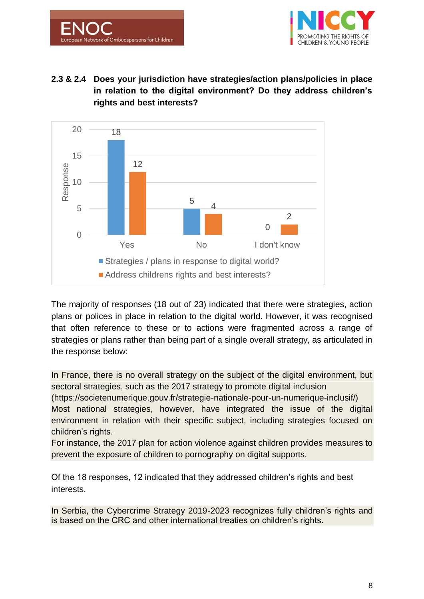



# **2.3 & 2.4 Does your jurisdiction have strategies/action plans/policies in place in relation to the digital environment? Do they address children's rights and best interests?**



The majority of responses (18 out of 23) indicated that there were strategies, action plans or polices in place in relation to the digital world. However, it was recognised that often reference to these or to actions were fragmented across a range of strategies or plans rather than being part of a single overall strategy, as articulated in the response below:

In France, there is no overall strategy on the subject of the digital environment, but sectoral strategies, such as the 2017 strategy to promote digital inclusion

(https://societenumerique.gouv.fr/strategie-nationale-pour-un-numerique-inclusif/) Most national strategies, however, have integrated the issue of the digital environment in relation with their specific subject, including strategies focused on children's rights.

For instance, the 2017 plan for action violence against children provides measures to prevent the exposure of children to pornography on digital supports.

Of the 18 responses, 12 indicated that they addressed children's rights and best interests.

In Serbia, the Cybercrime Strategy 2019-2023 recognizes fully children's rights and is based on the CRC and other international treaties on children's rights.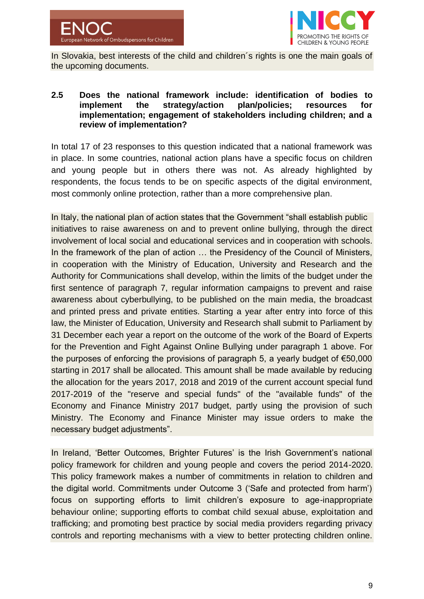



In Slovakia, best interests of the child and children's rights is one the main goals of the upcoming documents.

#### **2.5 Does the national framework include: identification of bodies to implement the strategy/action plan/policies; resources for implementation; engagement of stakeholders including children; and a review of implementation?**

In total 17 of 23 responses to this question indicated that a national framework was in place. In some countries, national action plans have a specific focus on children and young people but in others there was not. As already highlighted by respondents, the focus tends to be on specific aspects of the digital environment, most commonly online protection, rather than a more comprehensive plan.

In Italy, the national plan of action states that the Government "shall establish public initiatives to raise awareness on and to prevent online bullying, through the direct involvement of local social and educational services and in cooperation with schools. In the framework of the plan of action ... the Presidency of the Council of Ministers, in cooperation with the Ministry of Education, University and Research and the Authority for Communications shall develop, within the limits of the budget under the first sentence of paragraph 7, regular information campaigns to prevent and raise awareness about cyberbullying, to be published on the main media, the broadcast and printed press and private entities. Starting a year after entry into force of this law, the Minister of Education, University and Research shall submit to Parliament by 31 December each year a report on the outcome of the work of the Board of Experts for the Prevention and Fight Against Online Bullying under paragraph 1 above. For the purposes of enforcing the provisions of paragraph 5, a yearly budget of €50,000 starting in 2017 shall be allocated. This amount shall be made available by reducing the allocation for the years 2017, 2018 and 2019 of the current account special fund 2017-2019 of the "reserve and special funds" of the "available funds" of the Economy and Finance Ministry 2017 budget, partly using the provision of such Ministry. The Economy and Finance Minister may issue orders to make the necessary budget adjustments".

In Ireland, 'Better Outcomes, Brighter Futures' is the Irish Government's national policy framework for children and young people and covers the period 2014-2020. This policy framework makes a number of commitments in relation to children and the digital world. Commitments under Outcome 3 ('Safe and protected from harm') focus on supporting efforts to limit children's exposure to age-inappropriate behaviour online; supporting efforts to combat child sexual abuse, exploitation and trafficking; and promoting best practice by social media providers regarding privacy controls and reporting mechanisms with a view to better protecting children online.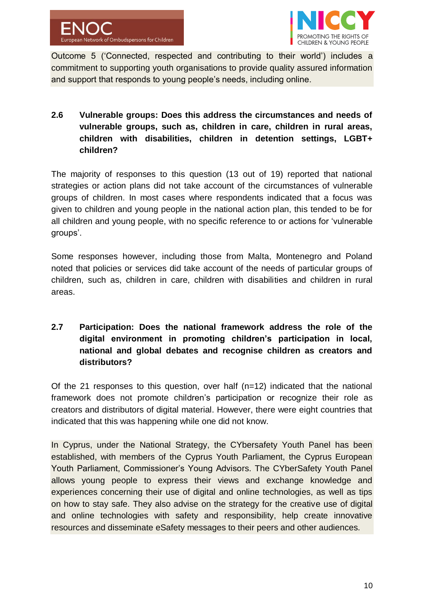

Outcome 5 ('Connected, respected and contributing to their world') includes a commitment to supporting youth organisations to provide quality assured information and support that responds to young people's needs, including online.

## **2.6 Vulnerable groups: Does this address the circumstances and needs of vulnerable groups, such as, children in care, children in rural areas, children with disabilities, children in detention settings, LGBT+ children?**

The majority of responses to this question (13 out of 19) reported that national strategies or action plans did not take account of the circumstances of vulnerable groups of children. In most cases where respondents indicated that a focus was given to children and young people in the national action plan, this tended to be for all children and young people, with no specific reference to or actions for 'vulnerable groups'.

Some responses however, including those from Malta, Montenegro and Poland noted that policies or services did take account of the needs of particular groups of children, such as, children in care, children with disabilities and children in rural areas.

# **2.7 Participation: Does the national framework address the role of the digital environment in promoting children's participation in local, national and global debates and recognise children as creators and distributors?**

Of the 21 responses to this question, over half (n=12) indicated that the national framework does not promote children's participation or recognize their role as creators and distributors of digital material. However, there were eight countries that indicated that this was happening while one did not know.

In Cyprus, under the National Strategy, the CYbersafety Youth Panel has been established, with members of the Cyprus Youth Parliament, the Cyprus European Youth Parliament, Commissioner's Young Advisors. The CYberSafety Youth Panel allows young people to express their views and exchange knowledge and experiences concerning their use of digital and online technologies, as well as tips on how to stay safe. They also advise on the strategy for the creative use of digital and online technologies with safety and responsibility, help create innovative resources and disseminate eSafety messages to their peers and other audiences.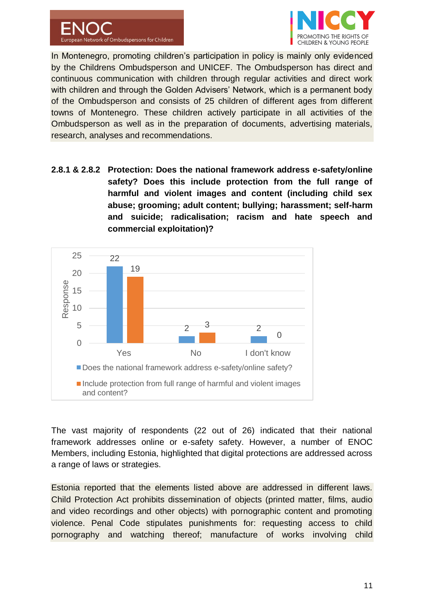



In Montenegro, promoting children's participation in policy is mainly only evidenced by the Childrens Ombudsperson and UNICEF. The Ombudsperson has direct and continuous communication with children through regular activities and direct work with children and through the Golden Advisers' Network, which is a permanent body of the Ombudsperson and consists of 25 children of different ages from different towns of Montenegro. These children actively participate in all activities of the Ombudsperson as well as in the preparation of documents, advertising materials, research, analyses and recommendations.

**2.8.1 & 2.8.2 Protection: Does the national framework address e-safety/online safety? Does this include protection from the full range of harmful and violent images and content (including child sex abuse; grooming; adult content; bullying; harassment; self-harm and suicide; radicalisation; racism and hate speech and commercial exploitation)?**



The vast majority of respondents (22 out of 26) indicated that their national framework addresses online or e-safety safety. However, a number of ENOC Members, including Estonia, highlighted that digital protections are addressed across a range of laws or strategies.

Estonia reported that the elements listed above are addressed in different laws. Child Protection Act prohibits dissemination of objects (printed matter, films, audio and video recordings and other objects) with pornographic content and promoting violence. Penal Code stipulates punishments for: requesting access to child pornography and watching thereof; manufacture of works involving child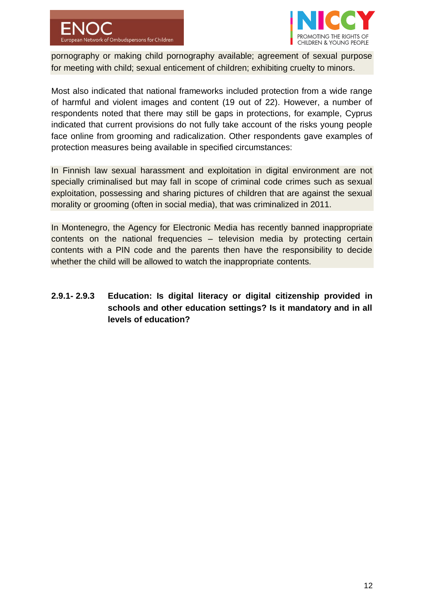



pornography or making child pornography available; agreement of sexual purpose for meeting with child; sexual enticement of children; exhibiting cruelty to minors.

Most also indicated that national frameworks included protection from a wide range of harmful and violent images and content (19 out of 22). However, a number of respondents noted that there may still be gaps in protections, for example, Cyprus indicated that current provisions do not fully take account of the risks young people face online from grooming and radicalization. Other respondents gave examples of protection measures being available in specified circumstances:

In Finnish law sexual harassment and exploitation in digital environment are not specially criminalised but may fall in scope of criminal code crimes such as sexual exploitation, possessing and sharing pictures of children that are against the sexual morality or grooming (often in social media), that was criminalized in 2011.

In Montenegro, the Agency for Electronic Media has recently banned inappropriate contents on the national frequencies – television media by protecting certain contents with a PIN code and the parents then have the responsibility to decide whether the child will be allowed to watch the inappropriate contents.

**2.9.1- 2.9.3 Education: Is digital literacy or digital citizenship provided in schools and other education settings? Is it mandatory and in all levels of education?**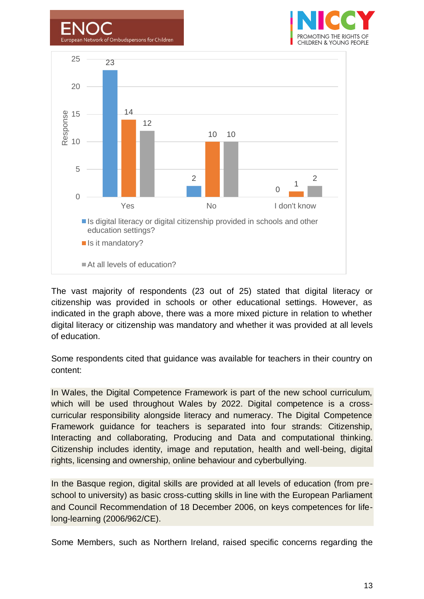



k of Ombudspersons for Children

The vast majority of respondents (23 out of 25) stated that digital literacy or citizenship was provided in schools or other educational settings. However, as indicated in the graph above, there was a more mixed picture in relation to whether digital literacy or citizenship was mandatory and whether it was provided at all levels of education.

Some respondents cited that guidance was available for teachers in their country on content:

In Wales, the Digital Competence Framework is part of the new school curriculum, which will be used throughout Wales by 2022. Digital competence is a crosscurricular responsibility alongside literacy and numeracy. The Digital Competence Framework guidance for teachers is separated into four strands: Citizenship, Interacting and collaborating, Producing and Data and computational thinking. Citizenship includes identity, image and reputation, health and well-being, digital rights, licensing and ownership, online behaviour and cyberbullying.

In the Basque region, digital skills are provided at all levels of education (from preschool to university) as basic cross-cutting skills in line with the European Parliament and Council Recommendation of 18 December 2006, on keys competences for lifelong-learning (2006/962/CE).

Some Members, such as Northern Ireland, raised specific concerns regarding the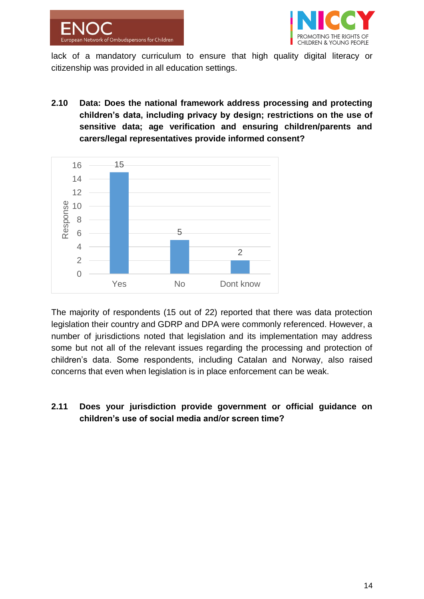



lack of a mandatory curriculum to ensure that high quality digital literacy or citizenship was provided in all education settings.

**2.10 Data: Does the national framework address processing and protecting children's data, including privacy by design; restrictions on the use of sensitive data; age verification and ensuring children/parents and carers/legal representatives provide informed consent?**



The majority of respondents (15 out of 22) reported that there was data protection legislation their country and GDRP and DPA were commonly referenced. However, a number of jurisdictions noted that legislation and its implementation may address some but not all of the relevant issues regarding the processing and protection of children's data. Some respondents, including Catalan and Norway, also raised concerns that even when legislation is in place enforcement can be weak.

## **2.11 Does your jurisdiction provide government or official guidance on children's use of social media and/or screen time?**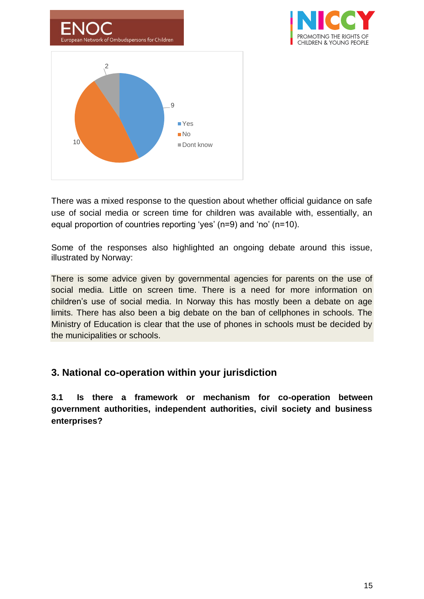



There was a mixed response to the question about whether official guidance on safe use of social media or screen time for children was available with, essentially, an equal proportion of countries reporting 'yes' (n=9) and 'no' (n=10).

Some of the responses also highlighted an ongoing debate around this issue, illustrated by Norway:

There is some advice given by governmental agencies for parents on the use of social media. Little on screen time. There is a need for more information on children's use of social media. In Norway this has mostly been a debate on age limits. There has also been a big debate on the ban of cellphones in schools. The Ministry of Education is clear that the use of phones in schools must be decided by the municipalities or schools.

# **3. National co-operation within your jurisdiction**

**3.1 Is there a framework or mechanism for co-operation between government authorities, independent authorities, civil society and business enterprises?**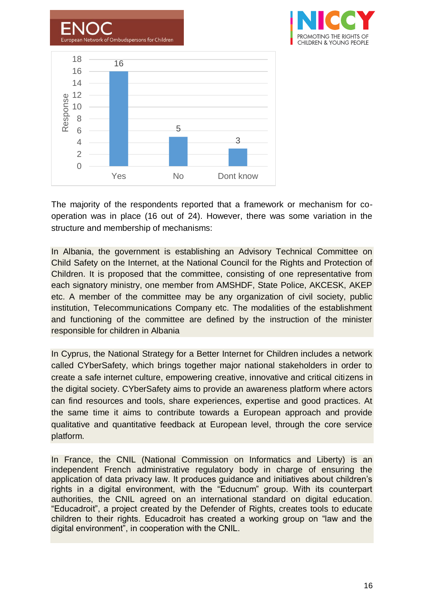

The majority of the respondents reported that a framework or mechanism for cooperation was in place (16 out of 24). However, there was some variation in the structure and membership of mechanisms:

In Albania, the government is establishing an Advisory Technical Committee on Child Safety on the Internet, at the National Council for the Rights and Protection of Children. It is proposed that the committee, consisting of one representative from each signatory ministry, one member from AMSHDF, State Police, AKCESK, AKEP etc. A member of the committee may be any organization of civil society, public institution, Telecommunications Company etc. The modalities of the establishment and functioning of the committee are defined by the instruction of the minister responsible for children in Albania

In Cyprus, the National Strategy for a Better Internet for Children includes a network called CYberSafety, which brings together major national stakeholders in order to create a safe internet culture, empowering creative, innovative and critical citizens in the digital society. CYberSafety aims to provide an awareness platform where actors can find resources and tools, share experiences, expertise and good practices. At the same time it aims to contribute towards a European approach and provide qualitative and quantitative feedback at European level, through the core service platform.

In France, the CNIL (National Commission on Informatics and Liberty) is an independent French administrative regulatory body in charge of ensuring the application of data privacy law. It produces guidance and initiatives about children's rights in a digital environment, with the "Educnum" group. With its counterpart authorities, the CNIL agreed on an international standard on digital education. "Educadroit", a project created by the Defender of Rights, creates tools to educate children to their rights. Educadroit has created a working group on "law and the digital environment", in cooperation with the CNIL.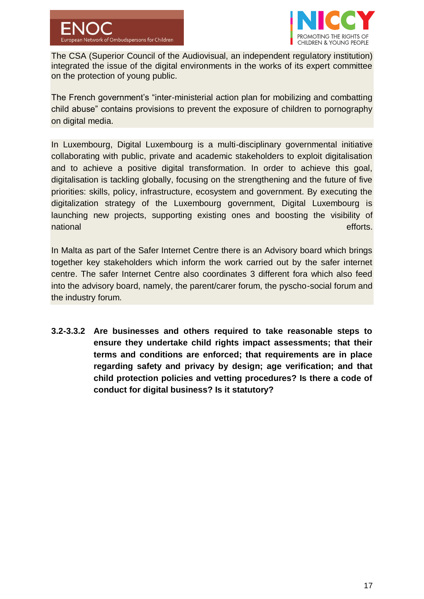

The CSA (Superior Council of the Audiovisual, an independent regulatory institution) integrated the issue of the digital environments in the works of its expert committee on the protection of young public.

The French government's "inter-ministerial action plan for mobilizing and combatting child abuse" contains provisions to prevent the exposure of children to pornography on digital media.

In Luxembourg, Digital Luxembourg is a multi-disciplinary governmental initiative collaborating with public, private and academic stakeholders to exploit digitalisation and to achieve a positive digital transformation. In order to achieve this goal, digitalisation is tackling globally, focusing on the strengthening and the future of five priorities: skills, policy, infrastructure, ecosystem and government. By executing the digitalization strategy of the Luxembourg government, Digital Luxembourg is launching new projects, supporting existing ones and boosting the visibility of national efforts. The contract of the contract of the contract of the contract of the contract of the contract of the contract of the contract of the contract of the contract of the contract of the contract of the contract

In Malta as part of the Safer Internet Centre there is an Advisory board which brings together key stakeholders which inform the work carried out by the safer internet centre. The safer Internet Centre also coordinates 3 different fora which also feed into the advisory board, namely, the parent/carer forum, the pyscho-social forum and the industry forum.

**3.2-3.3.2 Are businesses and others required to take reasonable steps to ensure they undertake child rights impact assessments; that their terms and conditions are enforced; that requirements are in place regarding safety and privacy by design; age verification; and that child protection policies and vetting procedures? Is there a code of conduct for digital business? Is it statutory?**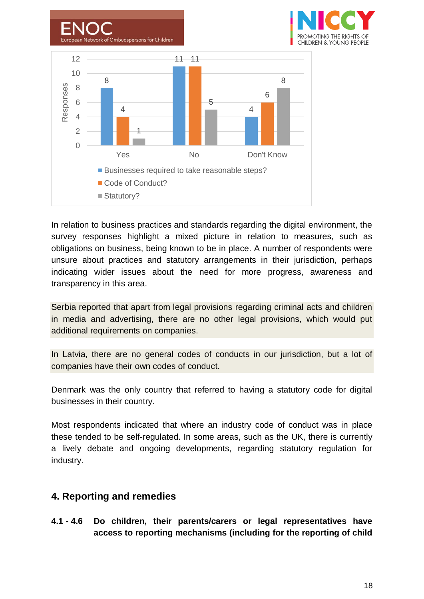

In relation to business practices and standards regarding the digital environment, the survey responses highlight a mixed picture in relation to measures, such as obligations on business, being known to be in place. A number of respondents were unsure about practices and statutory arrangements in their jurisdiction, perhaps indicating wider issues about the need for more progress, awareness and transparency in this area.

Serbia reported that apart from legal provisions regarding criminal acts and children in media and advertising, there are no other legal provisions, which would put additional requirements on companies.

In Latvia, there are no general codes of conducts in our jurisdiction, but a lot of companies have their own codes of conduct.

Denmark was the only country that referred to having a statutory code for digital businesses in their country.

Most respondents indicated that where an industry code of conduct was in place these tended to be self-regulated. In some areas, such as the UK, there is currently a lively debate and ongoing developments, regarding statutory regulation for industry.

# **4. Reporting and remedies**

**4.1 - 4.6 Do children, their parents/carers or legal representatives have access to reporting mechanisms (including for the reporting of child**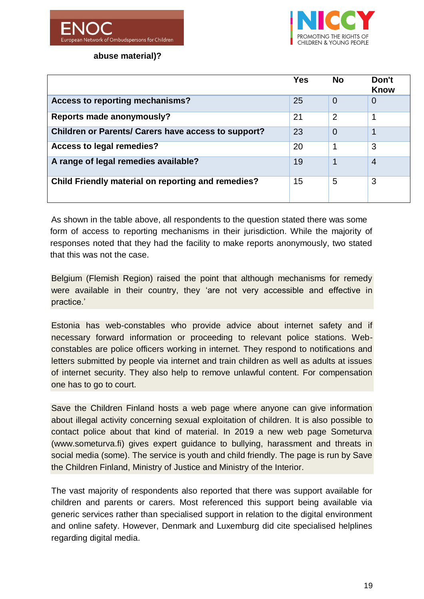



**abuse material)?** 

|                                                            | <b>Yes</b> | <b>No</b>      | Don't<br><b>Know</b> |
|------------------------------------------------------------|------------|----------------|----------------------|
| Access to reporting mechanisms?                            | 25         | $\overline{0}$ | 0                    |
| <b>Reports made anonymously?</b>                           | 21         | $\overline{2}$ |                      |
| <b>Children or Parents/ Carers have access to support?</b> | 23         | $\Omega$       |                      |
| Access to legal remedies?                                  | 20         |                | 3                    |
| A range of legal remedies available?                       | 19         | 1              | $\overline{4}$       |
| <b>Child Friendly material on reporting and remedies?</b>  | 15         | 5              | 3                    |

As shown in the table above, all respondents to the question stated there was some form of access to reporting mechanisms in their jurisdiction. While the majority of responses noted that they had the facility to make reports anonymously, two stated that this was not the case.

Belgium (Flemish Region) raised the point that although mechanisms for remedy were available in their country, they 'are not very accessible and effective in practice.'

Estonia has web-constables who provide advice about internet safety and if necessary forward information or proceeding to relevant police stations. Webconstables are police officers working in internet. They respond to notifications and letters submitted by people via internet and train children as well as adults at issues of internet security. They also help to remove unlawful content. For compensation one has to go to court.

Save the Children Finland hosts a web page where anyone can give information about illegal activity concerning sexual exploitation of children. It is also possible to contact police about that kind of material. In 2019 a new web page Someturva (www.someturva.fi) gives expert guidance to bullying, harassment and threats in social media (some). The service is youth and child friendly. The page is run by Save the Children Finland, Ministry of Justice and Ministry of the Interior.

The vast majority of respondents also reported that there was support available for children and parents or carers. Most referenced this support being available via generic services rather than specialised support in relation to the digital environment and online safety. However, Denmark and Luxemburg did cite specialised helplines regarding digital media.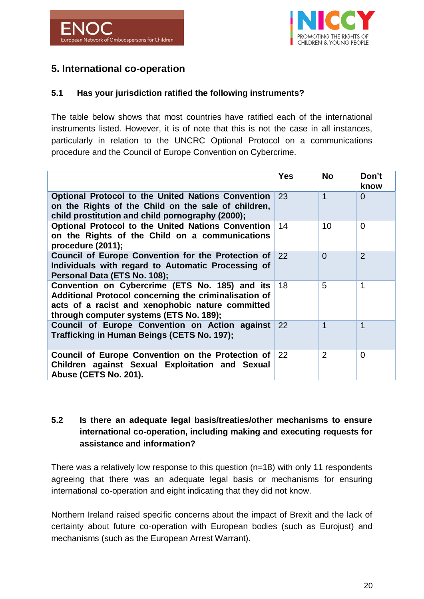

# **5. International co-operation**

### **5.1 Has your jurisdiction ratified the following instruments?**

The table below shows that most countries have ratified each of the international instruments listed. However, it is of note that this is not the case in all instances, particularly in relation to the UNCRC Optional Protocol on a communications procedure and the Council of Europe Convention on Cybercrime.

|                                                                                                                                                                                                        | <b>Yes</b> | <b>No</b>      | Don't<br>know  |
|--------------------------------------------------------------------------------------------------------------------------------------------------------------------------------------------------------|------------|----------------|----------------|
| <b>Optional Protocol to the United Nations Convention</b><br>on the Rights of the Child on the sale of children,<br>child prostitution and child pornography (2000);                                   | 23         | $\mathbf 1$    | $\overline{0}$ |
| <b>Optional Protocol to the United Nations Convention</b><br>on the Rights of the Child on a communications<br>procedure (2011);                                                                       | 14         | 10             | $\Omega$       |
| Council of Europe Convention for the Protection of 22<br>Individuals with regard to Automatic Processing of<br>Personal Data (ETS No. 108);                                                            |            | $\overline{0}$ | 2              |
| Convention on Cybercrime (ETS No. 185) and its<br>Additional Protocol concerning the criminalisation of<br>acts of a racist and xenophobic nature committed<br>through computer systems (ETS No. 189); | 18         | 5              | 1              |
| Council of Europe Convention on Action against<br>Trafficking in Human Beings (CETS No. 197);                                                                                                          | 22         | $\mathbf{1}$   | 1              |
| Council of Europe Convention on the Protection of<br>Children against Sexual Exploitation and Sexual<br>Abuse (CETS No. 201).                                                                          | 22         | $\overline{2}$ | $\Omega$       |

## **5.2 Is there an adequate legal basis/treaties/other mechanisms to ensure international co-operation, including making and executing requests for assistance and information?**

There was a relatively low response to this question (n=18) with only 11 respondents agreeing that there was an adequate legal basis or mechanisms for ensuring international co-operation and eight indicating that they did not know.

Northern Ireland raised specific concerns about the impact of Brexit and the lack of certainty about future co-operation with European bodies (such as Eurojust) and mechanisms (such as the European Arrest Warrant).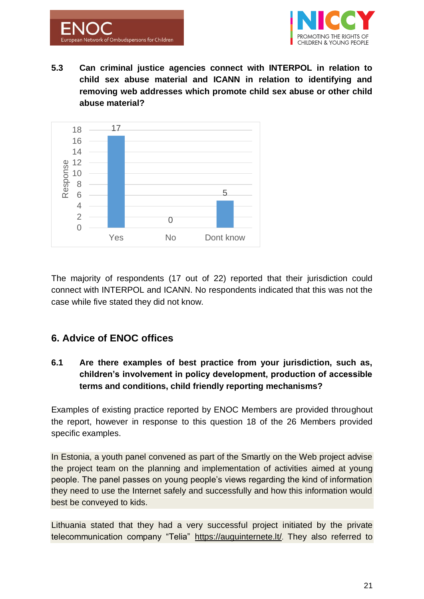



**5.3 Can criminal justice agencies connect with INTERPOL in relation to child sex abuse material and ICANN in relation to identifying and removing web addresses which promote child sex abuse or other child abuse material?**



The majority of respondents (17 out of 22) reported that their jurisdiction could connect with INTERPOL and ICANN. No respondents indicated that this was not the case while five stated they did not know.

# **6. Advice of ENOC offices**

**6.1 Are there examples of best practice from your jurisdiction, such as, children's involvement in policy development, production of accessible terms and conditions, child friendly reporting mechanisms?**

Examples of existing practice reported by ENOC Members are provided throughout the report, however in response to this question 18 of the 26 Members provided specific examples.

In Estonia, a youth panel convened as part of the Smartly on the Web project advise the project team on the planning and implementation of activities aimed at young people. The panel passes on young people's views regarding the kind of information they need to use the Internet safely and successfully and how this information would best be conveyed to kids.

Lithuania stated that they had a very successful project initiated by the private telecommunication company "Telia" <https://auguinternete.lt/>. They also referred to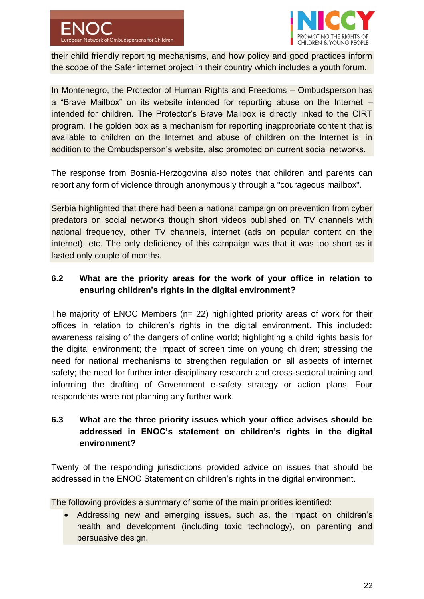

their child friendly reporting mechanisms, and how policy and good practices inform the scope of the Safer internet project in their country which includes a youth forum.

In Montenegro, the Protector of Human Rights and Freedoms – Ombudsperson has a "Brave Mailbox" on its website intended for reporting abuse on the Internet – intended for children. The Protector's Brave Mailbox is directly linked to the CIRT program. The golden box as a mechanism for reporting inappropriate content that is available to children on the Internet and abuse of children on the Internet is, in addition to the Ombudsperson's website, also promoted on current social networks.

The response from Bosnia-Herzogovina also notes that children and parents can report any form of violence through anonymously through a "courageous mailbox".

Serbia highlighted that there had been a national campaign on prevention from cyber predators on social networks though short videos published on TV channels with national frequency, other TV channels, internet (ads on popular content on the internet), etc. The only deficiency of this campaign was that it was too short as it lasted only couple of months.

## **6.2 What are the priority areas for the work of your office in relation to ensuring children's rights in the digital environment?**

The majority of ENOC Members (n= 22) highlighted priority areas of work for their offices in relation to children's rights in the digital environment. This included: awareness raising of the dangers of online world; highlighting a child rights basis for the digital environment; the impact of screen time on young children; stressing the need for national mechanisms to strengthen regulation on all aspects of internet safety; the need for further inter-disciplinary research and cross-sectoral training and informing the drafting of Government e-safety strategy or action plans. Four respondents were not planning any further work.

## **6.3 What are the three priority issues which your office advises should be addressed in ENOC's statement on children's rights in the digital environment?**

Twenty of the responding jurisdictions provided advice on issues that should be addressed in the ENOC Statement on children's rights in the digital environment.

The following provides a summary of some of the main priorities identified:

• Addressing new and emerging issues, such as, the impact on children's health and development (including toxic technology), on parenting and persuasive design.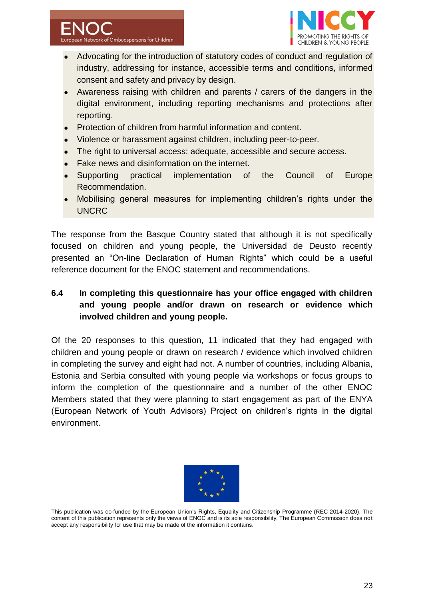



- Advocating for the introduction of statutory codes of conduct and regulation of industry, addressing for instance, accessible terms and conditions, informed consent and safety and privacy by design.
- Awareness raising with children and parents / carers of the dangers in the digital environment, including reporting mechanisms and protections after reporting.
- Protection of children from harmful information and content.
- Violence or harassment against children, including peer-to-peer.
- The right to universal access: adequate, accessible and secure access.
- Fake news and disinformation on the internet.
- Supporting practical implementation of the Council of Europe Recommendation.
- Mobilising general measures for implementing children's rights under the UNCRC

The response from the Basque Country stated that although it is not specifically focused on children and young people, the Universidad de Deusto recently presented an "On-line Declaration of Human Rights" which could be a useful reference document for the ENOC statement and recommendations.

## **6.4 In completing this questionnaire has your office engaged with children and young people and/or drawn on research or evidence which involved children and young people.**

Of the 20 responses to this question, 11 indicated that they had engaged with children and young people or drawn on research / evidence which involved children in completing the survey and eight had not. A number of countries, including Albania, Estonia and Serbia consulted with young people via workshops or focus groups to inform the completion of the questionnaire and a number of the other ENOC Members stated that they were planning to start engagement as part of the ENYA (European Network of Youth Advisors) Project on children's rights in the digital environment.



This publication was co-funded by the European Union's Rights, Equality and Citizenship Programme (REC 2014-2020). The content of this publication represents only the views of ENOC and is its sole responsibility. The European Commission does not accept any responsibility for use that may be made of the information it contains.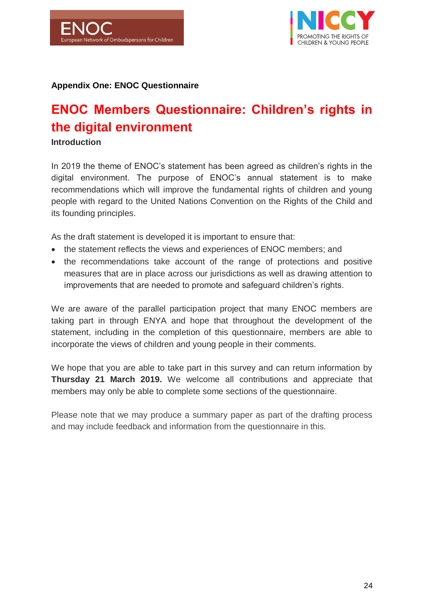



#### **Appendix One: ENOC Questionnaire**

# **ENOC Members Questionnaire: Children's rights in the digital environment**

**Introduction** 

In 2019 the theme of ENOC's statement has been agreed as children's rights in the digital environment. The purpose of ENOC's annual statement is to make recommendations which will improve the fundamental rights of children and young people with regard to the United Nations Convention on the Rights of the Child and its founding principles.

As the draft statement is developed it is important to ensure that:

- the statement reflects the views and experiences of ENOC members; and
- the recommendations take account of the range of protections and positive measures that are in place across our jurisdictions as well as drawing attention to improvements that are needed to promote and safeguard children's rights.

We are aware of the parallel participation project that many ENOC members are taking part in through ENYA and hope that throughout the development of the statement, including in the completion of this questionnaire, members are able to incorporate the views of children and young people in their comments.

We hope that you are able to take part in this survey and can return information by **Thursday 21 March 2019.** We welcome all contributions and appreciate that members may only be able to complete some sections of the questionnaire.

Please note that we may produce a summary paper as part of the drafting process and may include feedback and information from the questionnaire in this.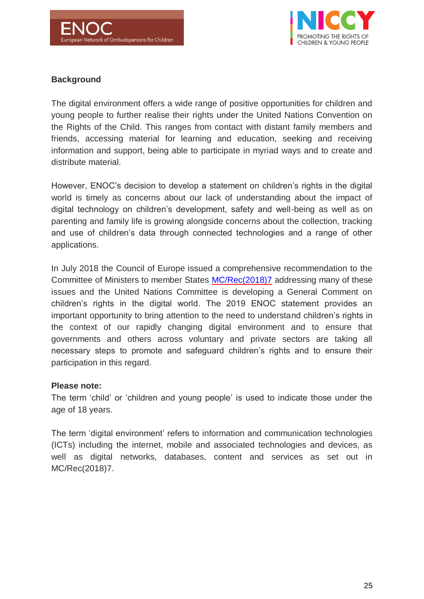

## **Background**

The digital environment offers a wide range of positive opportunities for children and young people to further realise their rights under the United Nations Convention on the Rights of the Child. This ranges from contact with distant family members and friends, accessing material for learning and education, seeking and receiving information and support, being able to participate in myriad ways and to create and distribute material.

However, ENOC's decision to develop a statement on children's rights in the digital world is timely as concerns about our lack of understanding about the impact of digital technology on children's development, safety and well-being as well as on parenting and family life is growing alongside concerns about the collection, tracking and use of children's data through connected technologies and a range of other applications.

In July 2018 the Council of Europe issued a comprehensive recommendation to the Committee of Ministers to member States [MC/Rec\(2018\)7](https://www.coe.int/en/web/children/-/new-recommendation-adopted-on-children-s-rights-in-the-digital-environment) addressing many of these issues and the United Nations Committee is developing a General Comment on children's rights in the digital world. The 2019 ENOC statement provides an important opportunity to bring attention to the need to understand children's rights in the context of our rapidly changing digital environment and to ensure that governments and others across voluntary and private sectors are taking all necessary steps to promote and safeguard children's rights and to ensure their participation in this regard.

#### **Please note:**

The term 'child' or 'children and young people' is used to indicate those under the age of 18 years.

The term 'digital environment' refers to information and communication technologies (ICTs) including the internet, mobile and associated technologies and devices, as well as digital networks, databases, content and services as set out in MC/Rec(2018)7.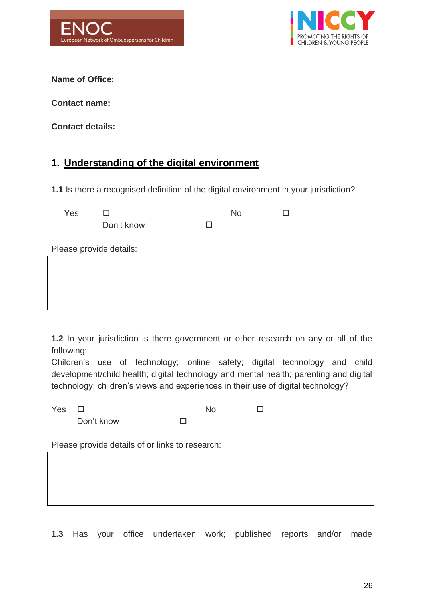



**Name of Office:**

**Contact name:**

**Contact details:**

# **1. Understanding of the digital environment**

**1.1** Is there a recognised definition of the digital environment in your jurisdiction?

| Yes |            | No | ΙI |
|-----|------------|----|----|
|     | Don't know |    |    |
|     |            |    |    |

Please provide details:

**1.2** In your jurisdiction is there government or other research on any or all of the following:

Children's use of technology; online safety; digital technology and child development/child health; digital technology and mental health; parenting and digital technology; children's views and experiences in their use of digital technology?

| Yes $\Box$ |            | No. |  |
|------------|------------|-----|--|
|            | Don't know |     |  |

Please provide details of or links to research:

**1.3** Has your office undertaken work; published reports and/or made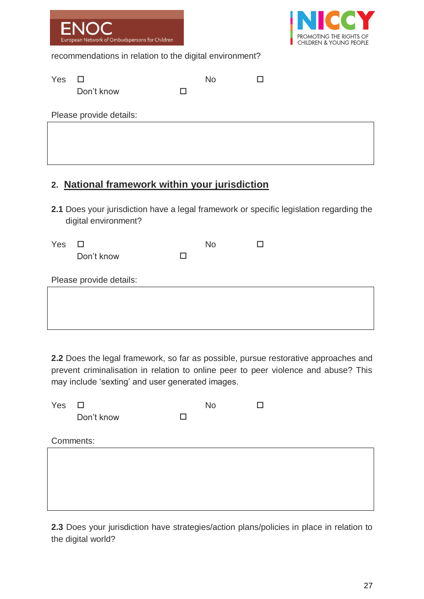|     | <b>ENOC</b><br>European Network of Ombudspersons for Children |           | <b>INICCY</b><br>PROMOTING THE RIGHTS OF<br>CHILDREN & YOUNG PEOPLE |
|-----|---------------------------------------------------------------|-----------|---------------------------------------------------------------------|
|     | recommendations in relation to the digital environment?       |           |                                                                     |
| Yes | Don't know                                                    | <b>No</b> |                                                                     |
|     | Please provide details:                                       |           |                                                                     |
|     |                                                               |           |                                                                     |

# **2. National framework within your jurisdiction**

**2.1** Does your jurisdiction have a legal framework or specific legislation regarding the digital environment?

| Yes | □                       |    | <b>No</b> |  |
|-----|-------------------------|----|-----------|--|
|     | Don't know              | LΙ |           |  |
|     |                         |    |           |  |
|     | Please provide details: |    |           |  |
|     |                         |    |           |  |
|     |                         |    |           |  |
|     |                         |    |           |  |
|     |                         |    |           |  |

**2.2** Does the legal framework, so far as possible, pursue restorative approaches and prevent criminalisation in relation to online peer to peer violence and abuse? This may include 'sexting' and user generated images.

| Yes | □          |   | <b>No</b> |  |
|-----|------------|---|-----------|--|
|     | Don't know | П |           |  |
|     |            |   |           |  |
|     | Comments:  |   |           |  |
|     |            |   |           |  |
|     |            |   |           |  |
|     |            |   |           |  |
|     |            |   |           |  |
|     |            |   |           |  |

**2.3** Does your jurisdiction have strategies/action plans/policies in place in relation to the digital world?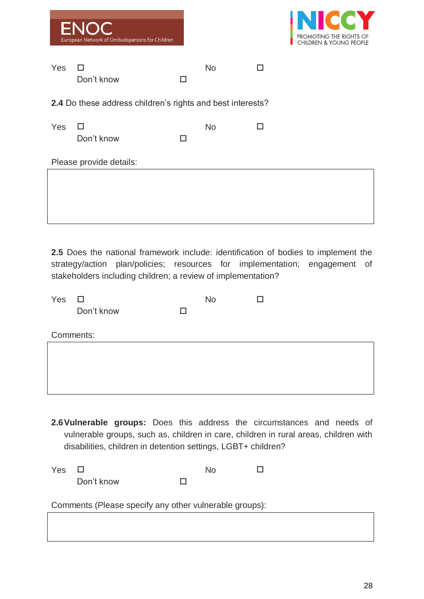|            | <b>ENOC</b><br>European Network of Ombudspersons for Children |   |           |   | <b>INICCY</b><br>PROMOTING THE RIGHTS OF<br><b>CHILDREN &amp; YOUNG PEOPLE</b> |
|------------|---------------------------------------------------------------|---|-----------|---|--------------------------------------------------------------------------------|
| <b>Yes</b> | $\mathsf{L}^1$<br>Don't know                                  | H | <b>No</b> | H |                                                                                |
|            | 2.4 Do these address children's rights and best interests?    |   |           |   |                                                                                |
| Yes        | $\mathbf{L}$<br>Don't know                                    |   | <b>No</b> | H |                                                                                |
|            | Please provide details:                                       |   |           |   |                                                                                |
|            |                                                               |   |           |   |                                                                                |

**2.5** Does the national framework include: identification of bodies to implement the strategy/action plan/policies; resources for implementation; engagement of stakeholders including children; a review of implementation?

| Yes | $\Box$     |   | <b>No</b> | ⊔ |  |
|-----|------------|---|-----------|---|--|
|     | Don't know | П |           |   |  |
|     |            |   |           |   |  |
|     | Comments:  |   |           |   |  |
|     |            |   |           |   |  |
|     |            |   |           |   |  |
|     |            |   |           |   |  |
|     |            |   |           |   |  |
|     |            |   |           |   |  |

**2.6Vulnerable groups:** Does this address the circumstances and needs of vulnerable groups, such as, children in care, children in rural areas, children with disabilities, children in detention settings, LGBT+ children?

| Yes $\Box$ |            | No |  |
|------------|------------|----|--|
|            | Don't know |    |  |

Comments (Please specify any other vulnerable groups):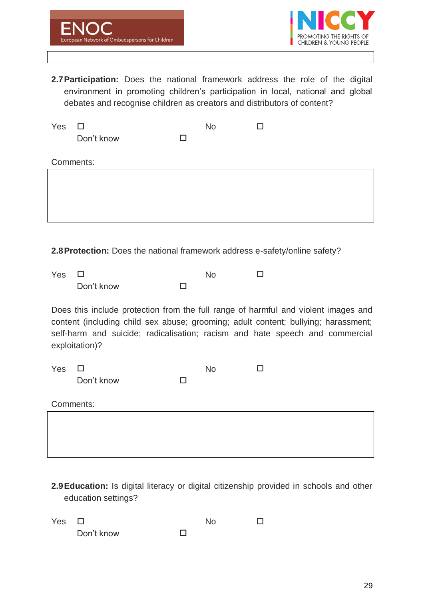

**2.7Participation:** Does the national framework address the role of the digital environment in promoting children's participation in local, national and global debates and recognise children as creators and distributors of content?

| Yes | $\Box$     |   | <b>No</b> |  |
|-----|------------|---|-----------|--|
|     | Don't know | П |           |  |
|     | Comments:  |   |           |  |
|     |            |   |           |  |
|     |            |   |           |  |
|     |            |   |           |  |

**2.8Protection:** Does the national framework address e-safety/online safety?

| Yes $\Box$ |            | Nο |  |
|------------|------------|----|--|
|            | Don't know |    |  |

Does this include protection from the full range of harmful and violent images and content (including child sex abuse; grooming; adult content; bullying; harassment; self-harm and suicide; radicalisation; racism and hate speech and commercial exploitation)?

| Yes       | $\Box$     |   | <b>No</b> | H |
|-----------|------------|---|-----------|---|
|           | Don't know | H |           |   |
|           |            |   |           |   |
| Comments: |            |   |           |   |
|           |            |   |           |   |
|           |            |   |           |   |

**2.9Education:** Is digital literacy or digital citizenship provided in schools and other education settings?

| Yes $\Box$ |            | No |  |
|------------|------------|----|--|
|            | Don't know |    |  |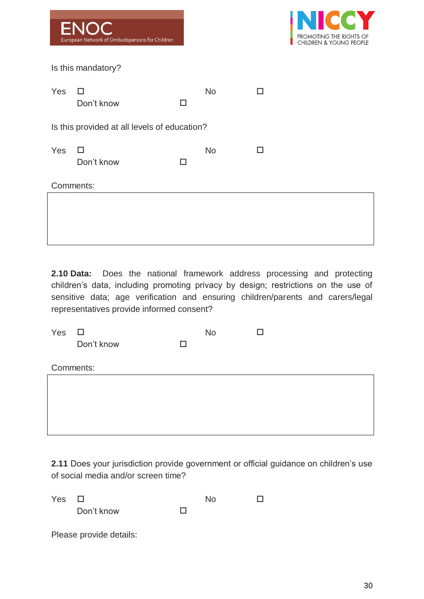|     | <b>ENOC</b><br>European Network of Ombudspersons for Children |   |           |     | <b>INICCY</b><br>PROMOTING THE RIGHTS OF<br><b>CHILDREN &amp; YOUNG PEOPLE</b> |
|-----|---------------------------------------------------------------|---|-----------|-----|--------------------------------------------------------------------------------|
|     | Is this mandatory?                                            |   |           |     |                                                                                |
| Yes | $\perp$<br>Don't know                                         |   | <b>No</b> | ı ı |                                                                                |
|     | Is this provided at all levels of education?                  |   |           |     |                                                                                |
| Yes | H<br>Don't know                                               | H | <b>No</b> | П   |                                                                                |
|     | Comments:                                                     |   |           |     |                                                                                |
|     |                                                               |   |           |     |                                                                                |

**2.10 Data:** Does the national framework address processing and protecting children's data, including promoting privacy by design; restrictions on the use of sensitive data; age verification and ensuring children/parents and carers/legal representatives provide informed consent?

| Yes | □          |   | <b>No</b> |  |  |  |
|-----|------------|---|-----------|--|--|--|
|     | Don't know | □ |           |  |  |  |
|     |            |   |           |  |  |  |
|     | Comments:  |   |           |  |  |  |
|     |            |   |           |  |  |  |
|     |            |   |           |  |  |  |
|     |            |   |           |  |  |  |
|     |            |   |           |  |  |  |
|     |            |   |           |  |  |  |

**2.11** Does your jurisdiction provide government or official guidance on children's use of social media and/or screen time?

| Yes | $\Box$                  |   | N٥ |  |
|-----|-------------------------|---|----|--|
|     | Don't know              | П |    |  |
|     | Please provide details: |   |    |  |
|     |                         |   |    |  |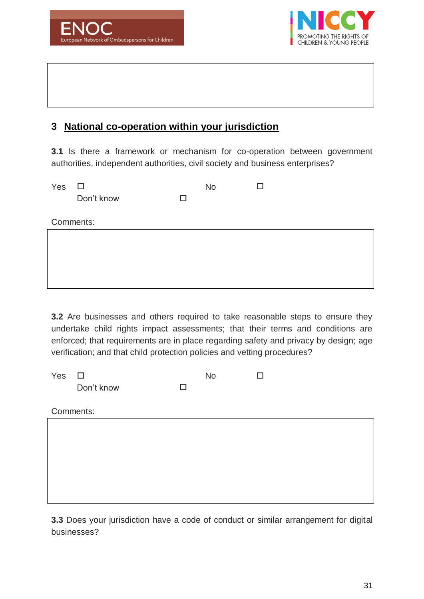



# **3 National co-operation within your jurisdiction**

**3.1** Is there a framework or mechanism for co-operation between government authorities, independent authorities, civil society and business enterprises?

| Yes | $\Box$     |   | <b>No</b> |  |
|-----|------------|---|-----------|--|
|     | Don't know | П |           |  |
|     |            |   |           |  |
|     | Comments:  |   |           |  |
|     |            |   |           |  |
|     |            |   |           |  |
|     |            |   |           |  |
|     |            |   |           |  |
|     |            |   |           |  |

**3.2** Are businesses and others required to take reasonable steps to ensure they undertake child rights impact assessments; that their terms and conditions are enforced; that requirements are in place regarding safety and privacy by design; age verification; and that child protection policies and vetting procedures?

| Yes       | $\Box$     |        | <b>No</b> | П |
|-----------|------------|--------|-----------|---|
|           | Don't know | $\Box$ |           |   |
|           |            |        |           |   |
| Comments: |            |        |           |   |
|           |            |        |           |   |
|           |            |        |           |   |
|           |            |        |           |   |
|           |            |        |           |   |
|           |            |        |           |   |
|           |            |        |           |   |
|           |            |        |           |   |

**3.3** Does your jurisdiction have a code of conduct or similar arrangement for digital businesses?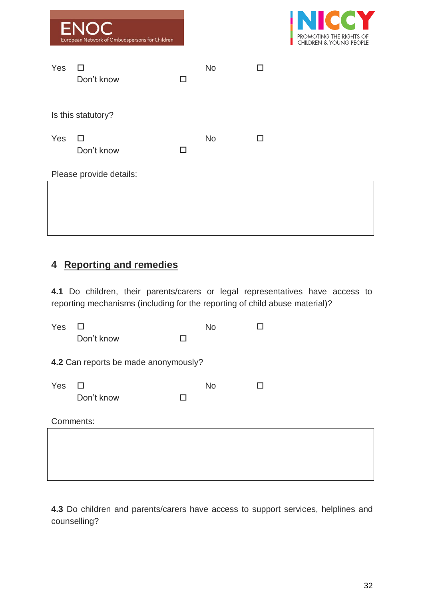|     | <b>ENOC</b><br>European Network of Ombudspersons for Children |                          |           |   | <b>INICCY</b><br>PROMOTING THE RIGHTS OF<br><b>CHILDREN &amp; YOUNG PEOPLE</b> |
|-----|---------------------------------------------------------------|--------------------------|-----------|---|--------------------------------------------------------------------------------|
| Yes | H<br>Don't know                                               | $\overline{\phantom{a}}$ | <b>No</b> | П |                                                                                |
|     | Is this statutory?                                            |                          |           |   |                                                                                |
| Yes | $\Box$<br>Don't know                                          | П                        | <b>No</b> | □ |                                                                                |
|     | Please provide details:                                       |                          |           |   |                                                                                |
|     |                                                               |                          |           |   |                                                                                |

# **4 Reporting and remedies**

**4.1** Do children, their parents/carers or legal representatives have access to reporting mechanisms (including for the reporting of child abuse material)?

| Yes                                  | Don't know      | П | <b>No</b> |   |  |  |  |
|--------------------------------------|-----------------|---|-----------|---|--|--|--|
| 4.2 Can reports be made anonymously? |                 |   |           |   |  |  |  |
| Yes                                  | □<br>Don't know | П | <b>No</b> | П |  |  |  |
|                                      | Comments:       |   |           |   |  |  |  |
|                                      |                 |   |           |   |  |  |  |
|                                      |                 |   |           |   |  |  |  |

**4.3** Do children and parents/carers have access to support services, helplines and counselling?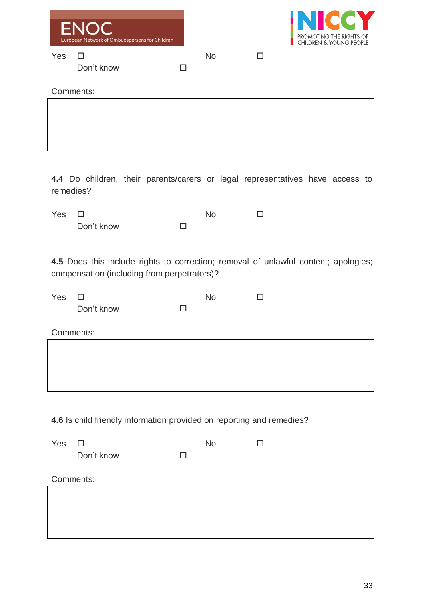|                         | ENOC<br>European Network of Ombudspersons for Children                                                                             |    |                |        | <b>NICCY</b><br>PROMOTING THE RIGHTS OF<br><b>CHILDREN &amp; YOUNG PEOPLE</b> |
|-------------------------|------------------------------------------------------------------------------------------------------------------------------------|----|----------------|--------|-------------------------------------------------------------------------------|
| Yes                     | $\Box$<br>Don't know                                                                                                               | П  | <b>No</b>      | $\Box$ |                                                                               |
|                         | Comments:                                                                                                                          |    |                |        |                                                                               |
|                         |                                                                                                                                    |    |                |        |                                                                               |
| remedies?               | 4.4 Do children, their parents/carers or legal representatives have access to                                                      |    |                |        |                                                                               |
| Yes                     | П<br>Don't know                                                                                                                    | П  | <b>No</b>      | □      |                                                                               |
|                         | 4.5 Does this include rights to correction; removal of unlawful content; apologies;<br>compensation (including from perpetrators)? |    |                |        |                                                                               |
| Yes $\square$           | Don't know                                                                                                                         | ΙI | <b>No</b>      | $\Box$ |                                                                               |
|                         | Comments:                                                                                                                          |    |                |        |                                                                               |
|                         |                                                                                                                                    |    |                |        |                                                                               |
| $Y_{\mathsf{AC}}$ $\Pi$ | 4.6 Is child friendly information provided on reporting and remedies?                                                              |    | N <sub>0</sub> |        |                                                                               |

| 100 |            |   | 1 N V | ┙ |  |
|-----|------------|---|-------|---|--|
|     | Don't know | ப |       |   |  |
|     |            |   |       |   |  |
|     |            |   |       |   |  |
|     |            |   |       |   |  |
|     | Comments:  |   |       |   |  |
|     |            |   |       |   |  |
|     |            |   |       |   |  |
|     |            |   |       |   |  |
|     |            |   |       |   |  |
|     |            |   |       |   |  |
|     |            |   |       |   |  |
|     |            |   |       |   |  |
|     |            |   |       |   |  |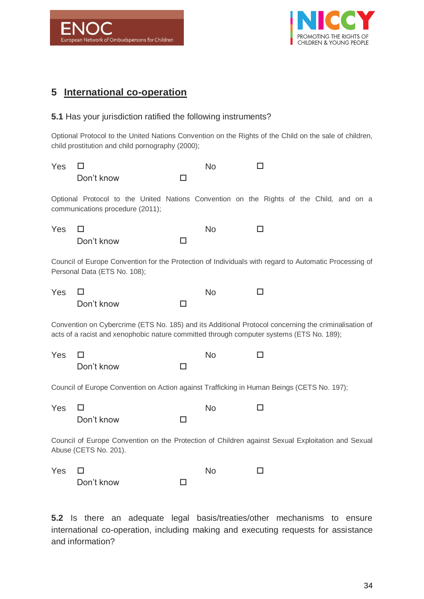



# **5 International co-operation**

#### **5.1** Has your jurisdiction ratified the following instruments?

Optional Protocol to the United Nations Convention on the Rights of the Child on the sale of children, child prostitution and child pornography (2000);

| Yes                                                                                                                                                                                              | Don't know                                                                                                                  | □      | <b>No</b> |    |  |  |
|--------------------------------------------------------------------------------------------------------------------------------------------------------------------------------------------------|-----------------------------------------------------------------------------------------------------------------------------|--------|-----------|----|--|--|
|                                                                                                                                                                                                  | Optional Protocol to the United Nations Convention on the Rights of the Child, and on a<br>communications procedure (2011); |        |           |    |  |  |
| Yes                                                                                                                                                                                              | H<br>Don't know                                                                                                             | □      | <b>No</b> | П  |  |  |
| Council of Europe Convention for the Protection of Individuals with regard to Automatic Processing of<br>Personal Data (ETS No. 108);                                                            |                                                                                                                             |        |           |    |  |  |
| Yes                                                                                                                                                                                              | H<br>Don't know                                                                                                             | П      | <b>No</b> | П  |  |  |
| Convention on Cybercrime (ETS No. 185) and its Additional Protocol concerning the criminalisation of<br>acts of a racist and xenophobic nature committed through computer systems (ETS No. 189); |                                                                                                                             |        |           |    |  |  |
| Yes                                                                                                                                                                                              | H<br>Don't know                                                                                                             | □      | <b>No</b> | ΙI |  |  |
| Council of Europe Convention on Action against Trafficking in Human Beings (CETS No. 197);                                                                                                       |                                                                                                                             |        |           |    |  |  |
| Yes                                                                                                                                                                                              | H<br>Don't know                                                                                                             | $\Box$ | <b>No</b> | ΙI |  |  |
| Council of Europe Convention on the Protection of Children against Sexual Exploitation and Sexual<br>Abuse (CETS No. 201).                                                                       |                                                                                                                             |        |           |    |  |  |
| Yes                                                                                                                                                                                              | Don't know                                                                                                                  | □      | <b>No</b> | П  |  |  |

**5.2** Is there an adequate legal basis/treaties/other mechanisms to ensure international co-operation, including making and executing requests for assistance and information?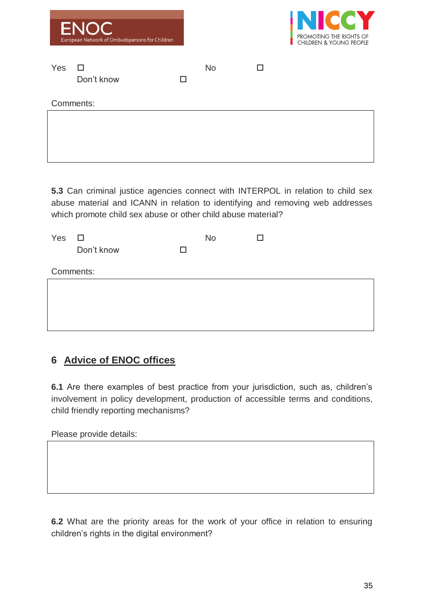|           | <b>ENOC</b><br>European Network of Ombudspersons for Children |  |           |   | <b>INICCY</b><br>PROMOTING THE RIGHTS OF<br><b>CHILDREN &amp; YOUNG PEOPLE</b> |  |
|-----------|---------------------------------------------------------------|--|-----------|---|--------------------------------------------------------------------------------|--|
| Yes       | $\mathbf{L}$<br>Don't know                                    |  | <b>No</b> | П |                                                                                |  |
| Comments: |                                                               |  |           |   |                                                                                |  |
|           |                                                               |  |           |   |                                                                                |  |

**5.3** Can criminal justice agencies connect with INTERPOL in relation to child sex abuse material and ICANN in relation to identifying and removing web addresses which promote child sex abuse or other child abuse material?

| Yes | $\Box$     |   | <b>No</b> |  |
|-----|------------|---|-----------|--|
|     | Don't know | п |           |  |
|     |            |   |           |  |
|     | Comments:  |   |           |  |
|     |            |   |           |  |
|     |            |   |           |  |
|     |            |   |           |  |
|     |            |   |           |  |
|     |            |   |           |  |

# **6 Advice of ENOC offices**

**6.1** Are there examples of best practice from your jurisdiction, such as, children's involvement in policy development, production of accessible terms and conditions, child friendly reporting mechanisms?

Please provide details:

**6.2** What are the priority areas for the work of your office in relation to ensuring children's rights in the digital environment?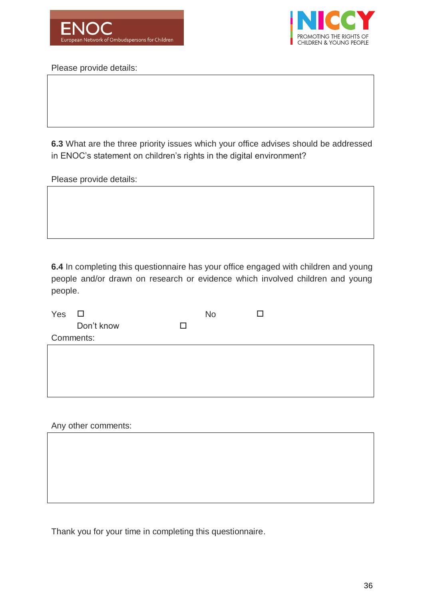



Please provide details:

**6.3** What are the three priority issues which your office advises should be addressed in ENOC's statement on children's rights in the digital environment?

Please provide details:

**6.4** In completing this questionnaire has your office engaged with children and young people and/or drawn on research or evidence which involved children and young people.

| Yes | $\Box$     |   | <b>No</b> | H |  |  |
|-----|------------|---|-----------|---|--|--|
|     | Don't know | ⊔ |           |   |  |  |
|     | Comments:  |   |           |   |  |  |
|     |            |   |           |   |  |  |
|     |            |   |           |   |  |  |
|     |            |   |           |   |  |  |
|     |            |   |           |   |  |  |

#### Any other comments:

Thank you for your time in completing this questionnaire.